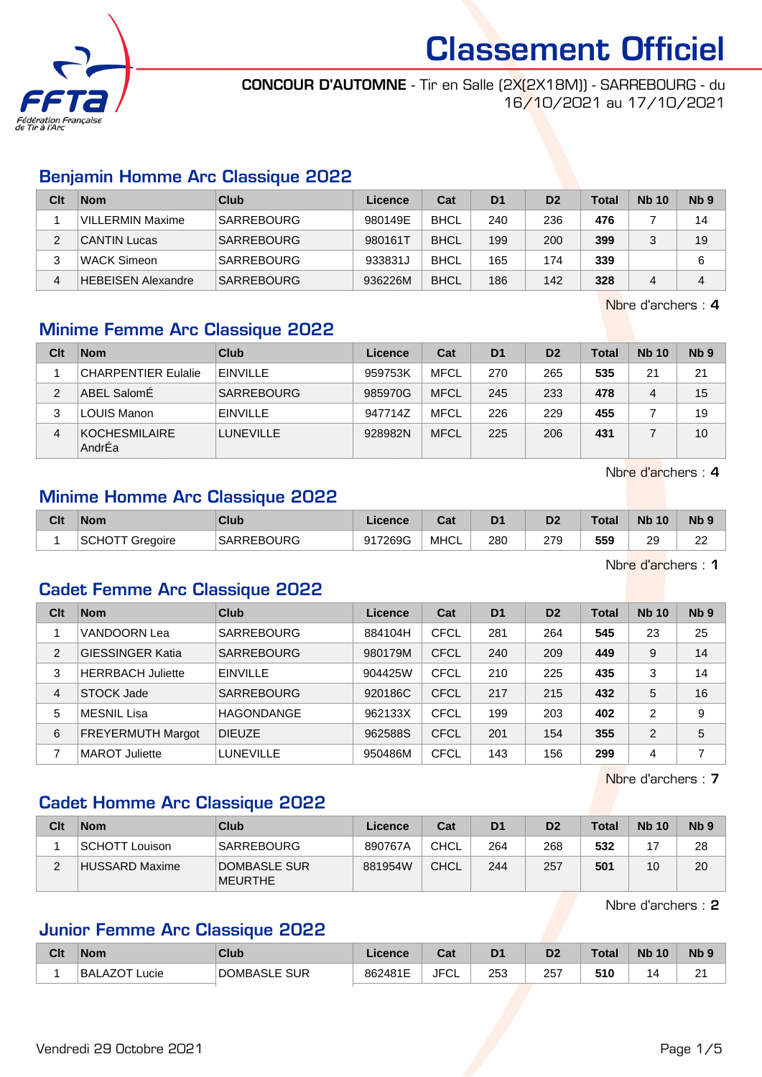

CONCOUR D'AUTOMNE - Tir en Salle (2X(2X18M)) - SARREBOURG - du 16/10/2021 au 17/10/2021

#### Benjamin Homme Arc Classique 2022

| Clt | <b>Nom</b>                | Club              | Licence | Cat         | D <sub>1</sub> | D <sub>2</sub> | Total | <b>Nb 10</b> | Nb <sub>9</sub> |
|-----|---------------------------|-------------------|---------|-------------|----------------|----------------|-------|--------------|-----------------|
|     | <b>VILLERMIN Maxime</b>   | <b>SARREBOURG</b> | 980149E | <b>BHCL</b> | 240            | 236            | 476   |              | 14              |
|     | <b>CANTIN Lucas</b>       | <b>SARREBOURG</b> | 980161T | <b>BHCL</b> | 199            | 200            | 399   |              | 19              |
| ົ   | <b>WACK Simeon</b>        | SARREBOURG        | 933831J | <b>BHCL</b> | 165            | 174            | 339   |              | 6               |
| 4   | <b>HEBEISEN Alexandre</b> | <b>SARREBOURG</b> | 936226M | <b>BHCL</b> | 186            | 142            | 328   |              | 4               |

Nbre d'archers : 4

#### Minime Femme Arc Classique 2022

| Clt            | <b>Nom</b>                     | Club              | Licence | Cat         | D <sub>1</sub> | D <sub>2</sub> | Total | <b>Nb 10</b> | Nb <sub>9</sub> |
|----------------|--------------------------------|-------------------|---------|-------------|----------------|----------------|-------|--------------|-----------------|
|                | <b>CHARPENTIER Eulalie</b>     | <b>EINVILLE</b>   | 959753K | <b>MFCL</b> | 270            | 265            | 535   | 21           | 21              |
| $\overline{2}$ | ABEL SalomÉ                    | <b>SARREBOURG</b> | 985970G | <b>MFCL</b> | 245            | 233            | 478   | 4            | 15              |
| 3              | <b>LOUIS Manon</b>             | <b>EINVILLE</b>   | 947714Z | <b>MFCL</b> | 226            | 229            | 455   |              | 19              |
| 4              | <b>KOCHESMILAIRE</b><br>AndrEa | <b>LUNEVILLE</b>  | 928982N | <b>MFCL</b> | 225            | 206            | 431   |              | 10              |

Nbre d'archers : 4

#### Minime Homme Arc Classique 2022

| Clt | <b>Nom</b>                    | Club                      | Licence | $\sim$<br>ual | D <sub>1</sub> | D <sub>2</sub> | Total | <b>N<sub>b</sub></b><br>10 | N <sub>b</sub> <sub>9</sub> |
|-----|-------------------------------|---------------------------|---------|---------------|----------------|----------------|-------|----------------------------|-----------------------------|
|     | SCHC <sup>®</sup><br>Gregoire | REBOURG<br><b>SARREBO</b> | 917269G | <b>MHCL</b>   | 280            | 279            | 559   | ാവ<br>∠≂                   | nn<br>"                     |
|     |                               |                           |         |               |                |                |       |                            |                             |

Nbre d'archers : 1

#### Cadet Femme Arc Classique 2022

| Clt            | <b>Nom</b>               | Club              | Licence | Cat         | D <sub>1</sub> | D <sub>2</sub> | <b>Total</b> | <b>Nb 10</b>   | Nb <sub>9</sub> |
|----------------|--------------------------|-------------------|---------|-------------|----------------|----------------|--------------|----------------|-----------------|
|                | VANDOORN Lea             | <b>SARREBOURG</b> | 884104H | <b>CFCL</b> | 281            | 264            | 545          | 23             | 25              |
| $\overline{2}$ | <b>GIESSINGER Katia</b>  | <b>SARREBOURG</b> | 980179M | <b>CFCL</b> | 240            | 209            | 449          | 9              | 14              |
| 3              | <b>HERRBACH Juliette</b> | <b>EINVILLE</b>   | 904425W | CFCL        | 210            | 225            | 435          | 3              | 14              |
| 4              | STOCK Jade               | <b>SARREBOURG</b> | 920186C | <b>CFCL</b> | 217            | 215            | 432          | 5              | 16              |
| 5              | MESNIL Lisa              | <b>HAGONDANGE</b> | 962133X | CFCL        | 199            | 203            | 402          | $\overline{2}$ | 9               |
| 6              | <b>FREYERMUTH Margot</b> | <b>DIEUZE</b>     | 962588S | <b>CFCL</b> | 201            | 154            | 355          | 2              | 5               |
|                | <b>MAROT Juliette</b>    | <b>LUNEVILLE</b>  | 950486M | CFCL        | 143            | 156            | 299          | 4              |                 |

Nbre d'archers : 7

#### Cadet Homme Arc Classique 2022

| Clt | <b>Nom</b>            | Club                           | Licence | Cat         | D <sub>1</sub> | D <sub>2</sub> | <b>Total</b> | <b>Nb 10</b> | N <sub>b</sub> <sub>9</sub> |
|-----|-----------------------|--------------------------------|---------|-------------|----------------|----------------|--------------|--------------|-----------------------------|
|     | SCHOTT Louison        | <b>SARREBOURG</b>              | 890767A | CHCL        | 264            | 268            | 532          |              | 28                          |
| C   | <b>HUSSARD Maxime</b> | DOMBASLE SUR<br><b>MEURTHE</b> | 881954W | <b>CHCL</b> | 244            | 257            | 501          | 10           | 20                          |

Nbre d'archers : 2

#### Junior Femme Arc Classique 2022

| Clt | <b>Nom</b>              | Club                     | Licence | $\sim$<br>⊍aι      |     | D2  | Total    | <b>Nb</b><br>10 | Nb <sub>9</sub> |
|-----|-------------------------|--------------------------|---------|--------------------|-----|-----|----------|-----------------|-----------------|
|     | <b>BALAZOT</b><br>∟ucie | <b>DOMBASLE</b><br>E SUR | 862481E | <b>JFC'</b><br>ັບ∟ | 253 | 257 | EAC<br>. |                 | $\sim$<br>∠     |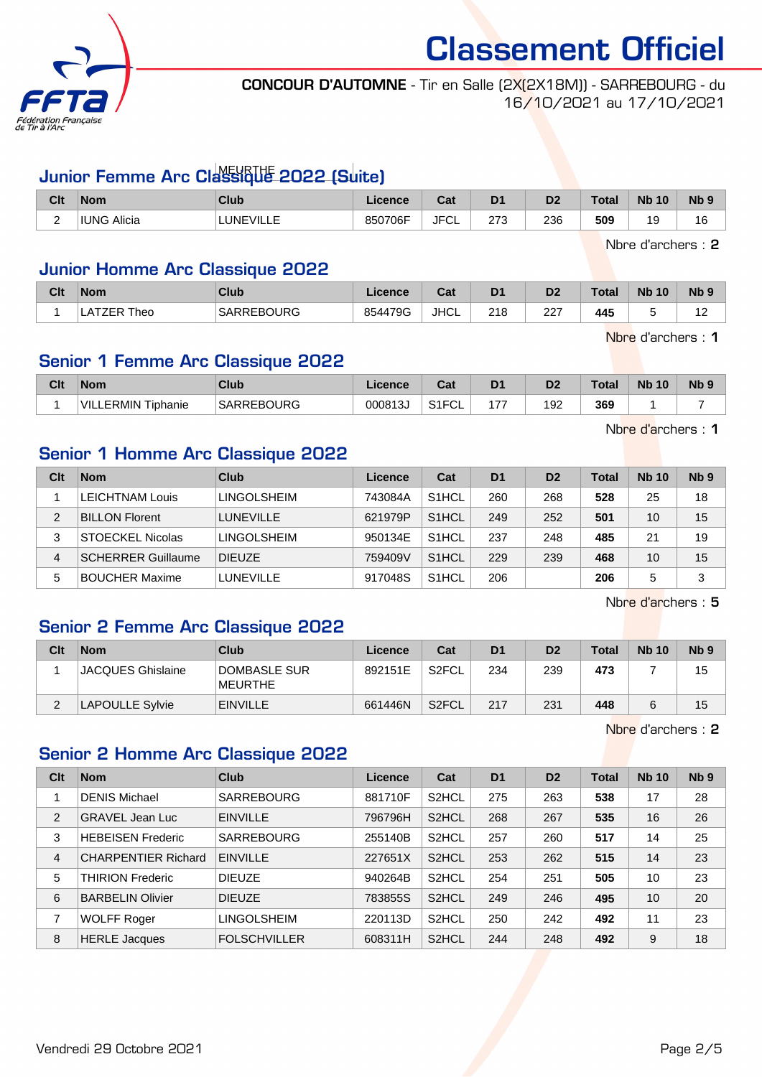

#### CONCOUR D'AUTOMNE - Tir en Salle (2X(2X18M)) - SARREBOURG - du 16/10/2021 au 17/10/2021

# Junior Femme Arc Classique 2022 (Suite)

| Clt                      | <b>Nom</b>         | <b>Club</b>      | Licence | <b>Tat</b><br>Jat | D <sub>1</sub> | n <sub>o</sub><br>ש | Total | <b>N<sub>b</sub></b><br>10 | N <sub>b</sub> <sub>9</sub> |
|--------------------------|--------------------|------------------|---------|-------------------|----------------|---------------------|-------|----------------------------|-----------------------------|
| $\overline{\phantom{0}}$ | <b>IUNG Alicia</b> | <b>LUNEVILLE</b> | 850706F | JFC.<br>⊤ບ∟       | מדר<br>ں اے    | 236                 | 509   | 10<br>v                    | 16                          |

Nbre d'archers : 2

#### Junior Homme Arc Classique 2022

| Clt | <b>Nom</b> | Club              | .icence | יה<br>val   | D <sub>1</sub> | D <sub>2</sub> | <b>Total</b> | <b>Nb 10</b> | <b>Nb</b> |
|-----|------------|-------------------|---------|-------------|----------------|----------------|--------------|--------------|-----------|
|     | heo<br>-   | <b>SARREBOURG</b> | 854479G | <b>JHCL</b> | 218            | $\sim$<br>221  | 445          |              | . .       |

Nbre d'archers : 1

#### Senior 1 Femme Arc Classique 2022

| Clt | <b>Nom</b>                  | Club              | icence | ◠⌒:<br>val                 | D <sub>1</sub>                 | D <sub>2</sub>       | <b>Total</b> | <b>N<sub>b</sub></b><br>10 | <b>Nb</b> |
|-----|-----------------------------|-------------------|--------|----------------------------|--------------------------------|----------------------|--------------|----------------------------|-----------|
|     | VII<br>ERMIN .<br>`Tiphanie | <b>SARREBOURG</b> | 000813 | $\sim$ $\sim$ $\sim$<br>◡∟ | $\rightarrow$<br>$\frac{1}{2}$ | 192<br>$\sim$ $\sim$ | 369          |                            |           |

Nbre d'archers : 1

#### Senior 1 Homme Arc Classique 2022

| Clt | <b>Nom</b>                | Club               | Licence | Cat                | D <sub>1</sub> | D <sub>2</sub> | <b>Total</b> | <b>Nb 10</b> | Nb <sub>9</sub> |
|-----|---------------------------|--------------------|---------|--------------------|----------------|----------------|--------------|--------------|-----------------|
|     | LEICHTNAM Louis           | <b>LINGOLSHEIM</b> | 743084A | S <sub>1</sub> HCL | 260            | 268            | 528          | 25           | 18              |
| 2   | <b>BILLON Florent</b>     | <b>LUNEVILLE</b>   | 621979P | S <sub>1</sub> HCL | 249            | 252            | 501          | 10           | 15              |
| 3   | <b>STOECKEL Nicolas</b>   | LINGOLSHEIM        | 950134E | S <sub>1</sub> HCL | 237            | 248            | 485          | 21           | 19              |
| 4   | <b>SCHERRER Guillaume</b> | <b>DIEUZE</b>      | 759409V | S <sub>1</sub> HCL | 229            | 239            | 468          | 10           | 15              |
| 5   | <b>BOUCHER Maxime</b>     | <b>LUNEVILLE</b>   | 917048S | S <sub>1</sub> HCL | 206            |                | 206          | 5            | 3               |

Nbre d'archers : 5

## Senior 2 Femme Arc Classique 2022

| Clt | <b>Nom</b>               | Club                    | Licence | Cat                | D <sub>1</sub> | D <sub>2</sub> | <b>Total</b> | <b>Nb 10</b> | Nb <sub>9</sub> |
|-----|--------------------------|-------------------------|---------|--------------------|----------------|----------------|--------------|--------------|-----------------|
|     | <b>JACQUES Ghislaine</b> | DOMBASLE SUR<br>MEURTHE | 892151E | S2FCL              | 234            | 239            | 473          |              | 15              |
| ົ   | <b>LAPOULLE Sylvie</b>   | <b>EINVILLE</b>         | 661446N | S <sub>2</sub> FCL | 217            | 231            | 448          |              | 15              |

Nbre d'archers : 2

#### Senior 2 Homme Arc Classique 2022

| Clt | <b>Nom</b>                 | Club                | Licence | Cat                | D <sub>1</sub> | D <sub>2</sub> | <b>Total</b> | <b>Nb 10</b> | Nb <sub>9</sub> |
|-----|----------------------------|---------------------|---------|--------------------|----------------|----------------|--------------|--------------|-----------------|
|     | <b>DENIS Michael</b>       | <b>SARREBOURG</b>   | 881710F | S <sub>2</sub> HCL | 275            | 263            | 538          | 17           | 28              |
| 2   | <b>GRAVEL Jean Luc</b>     | <b>EINVILLE</b>     | 796796H | S <sub>2</sub> HCL | 268            | 267            | 535          | 16           | 26              |
| 3   | <b>HEBEISEN Frederic</b>   | <b>SARREBOURG</b>   | 255140B | S <sub>2</sub> HCL | 257            | 260            | 517          | 14           | 25              |
| 4   | <b>CHARPENTIER Richard</b> | <b>EINVILLE</b>     | 227651X | S <sub>2</sub> HCL | 253            | 262            | 515          | 14           | 23              |
| 5   | <b>THIRION Frederic</b>    | <b>DIEUZE</b>       | 940264B | S <sub>2</sub> HCL | 254            | 251            | 505          | 10           | 23              |
| 6   | <b>BARBELIN Olivier</b>    | <b>DIEUZE</b>       | 783855S | S <sub>2</sub> HCL | 249            | 246            | 495          | 10           | 20              |
| 7   | <b>WOLFF Roger</b>         | <b>LINGOLSHEIM</b>  | 220113D | S <sub>2</sub> HCL | 250            | 242            | 492          | 11           | 23              |
| 8   | <b>HERLE Jacques</b>       | <b>FOLSCHVILLER</b> | 608311H | S <sub>2</sub> HCL | 244            | 248            | 492          | 9            | 18              |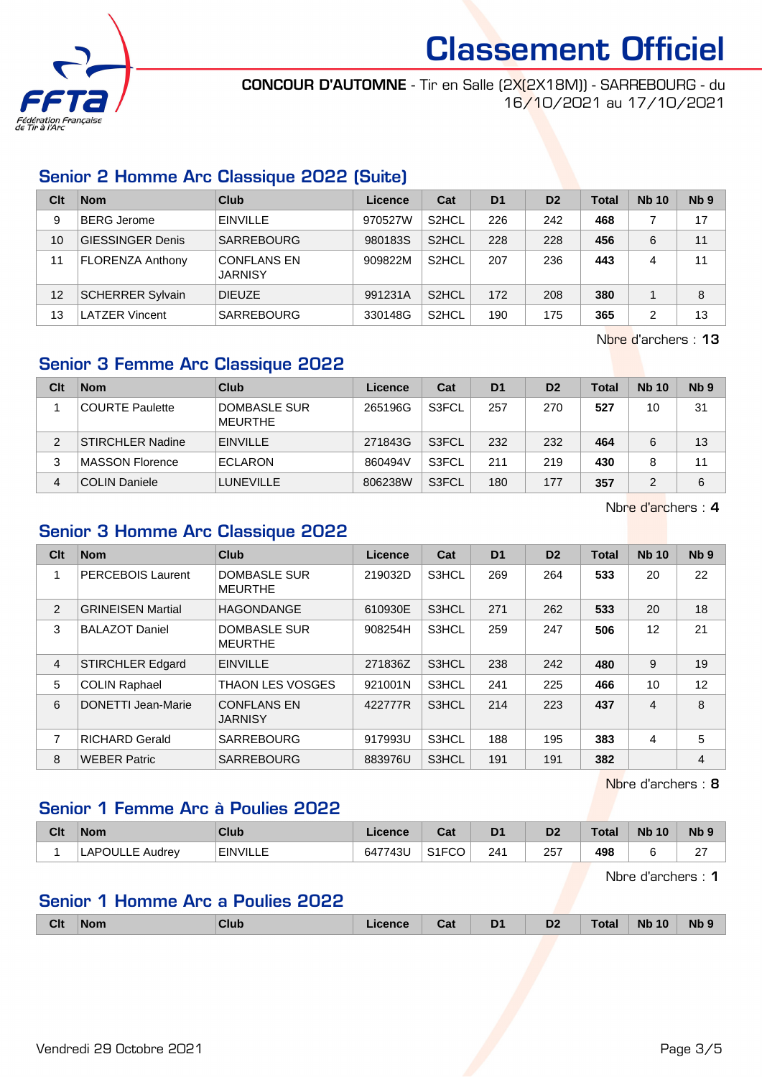

CONCOUR D'AUTOMNE - Tir en Salle (2X(2X18M)) - SARREBOURG - du 16/10/2021 au 17/10/2021

#### Senior 2 Homme Arc Classique 2022 (Suite)

| Clt             | <b>Nom</b>              | Club                                 | Licence | Cat                | D <sub>1</sub> | D <sub>2</sub> | Total | <b>Nb 10</b> | Nb <sub>9</sub> |
|-----------------|-------------------------|--------------------------------------|---------|--------------------|----------------|----------------|-------|--------------|-----------------|
| 9               | BERG Jerome             | <b>EINVILLE</b>                      | 970527W | S <sub>2</sub> HCL | 226            | 242            | 468   |              | 17              |
| 10 <sup>°</sup> | <b>GIESSINGER Denis</b> | <b>SARREBOURG</b>                    | 980183S | S <sub>2</sub> HCL | 228            | 228            | 456   | 6            | 11              |
| 11              | <b>FLORENZA Anthony</b> | <b>CONFLANS EN</b><br><b>JARNISY</b> | 909822M | S <sub>2</sub> HCL | 207            | 236            | 443   | 4            | 11              |
| 12              | <b>SCHERRER Sylvain</b> | <b>DIEUZE</b>                        | 991231A | S <sub>2</sub> HCL | 172            | 208            | 380   |              | 8               |
| 13              | <b>LATZER Vincent</b>   | <b>SARREBOURG</b>                    | 330148G | S <sub>2</sub> HCL | 190            | 175            | 365   | 2            | 13              |

Nbre d'archers : 13

#### Senior 3 Femme Arc Classique 2022

| Clt | <b>Nom</b>              | Club                           | Licence | Cat   | D <sub>1</sub> | D <sub>2</sub> | Total | <b>Nb 10</b> | N <sub>b</sub> <sub>9</sub> |
|-----|-------------------------|--------------------------------|---------|-------|----------------|----------------|-------|--------------|-----------------------------|
|     | <b>COURTE Paulette</b>  | DOMBASLE SUR<br><b>MEURTHE</b> | 265196G | S3FCL | 257            | 270            | 527   | 10           | 31                          |
| 2   | <b>STIRCHLER Nadine</b> | <b>EINVILLE</b>                | 271843G | S3FCL | 232            | 232            | 464   | 6            | 13                          |
| 3   | MASSON Florence         | <b>ECLARON</b>                 | 860494V | S3FCL | 211            | 219            | 430   |              | 11                          |
| 4   | COLIN Daniele           | <b>LUNEVILLE</b>               | 806238W | S3FCL | 180            | 177            | 357   |              | 6                           |

Nbre d'archers : 4

### Senior 3 Homme Arc Classique 2022

| Clt            | <b>Nom</b>                | Club                                  | Licence | Cat   | D <sub>1</sub> | D <sub>2</sub> | <b>Total</b> | <b>Nb 10</b> | Nb <sub>9</sub> |
|----------------|---------------------------|---------------------------------------|---------|-------|----------------|----------------|--------------|--------------|-----------------|
|                | <b>PERCEBOIS Laurent</b>  | DOMBASLE SUR<br><b>MEURTHE</b>        | 219032D | S3HCL | 269            | 264            | 533          | 20           | 22              |
| $\overline{2}$ | <b>GRINEISEN Martial</b>  | <b>HAGONDANGE</b>                     | 610930E | S3HCL | 271            | 262            | 533          | 20           | 18              |
| 3              | <b>BALAZOT Daniel</b>     | <b>DOMBASLE SUR</b><br><b>MEURTHE</b> | 908254H | S3HCL | 259            | 247            | 506          | 12           | 21              |
| 4              | <b>STIRCHLER Edgard</b>   | <b>EINVILLE</b>                       | 271836Z | S3HCL | 238            | 242            | 480          | 9            | 19              |
| 5              | <b>COLIN Raphael</b>      | <b>THAON LES VOSGES</b>               | 921001N | S3HCL | 241            | 225            | 466          | 10           | 12              |
| 6              | <b>DONETTI Jean-Marie</b> | <b>CONFLANS EN</b><br><b>JARNISY</b>  | 422777R | S3HCL | 214            | 223            | 437          | 4            | 8               |
| 7              | <b>RICHARD Gerald</b>     | <b>SARREBOURG</b>                     | 917993U | S3HCL | 188            | 195            | 383          | 4            | 5               |
| 8              | <b>WEBER Patric</b>       | <b>SARREBOURG</b>                     | 883976U | S3HCL | 191            | 191            | 382          |              | 4               |

Nbre d'archers : 8

#### Senior 1 Femme Arc à Poulies 2022

| Clt | <b>Nom</b>      | Club            | .icence | ่∩ื่∽∗<br>⊍aī      | D <sub>1</sub> | D <sub>2</sub> | <b>Total</b> | <b>Nb 10</b> | <b>Nb</b> S          |
|-----|-----------------|-----------------|---------|--------------------|----------------|----------------|--------------|--------------|----------------------|
|     | LAPOULLE Audrey | <b>EINVILLE</b> | 647743U | S <sub>1</sub> FCO | 241            | 257            | 498          |              | $\sim$<br>$\epsilon$ |

Nbre d'archers : 1

#### Senior 1 Homme Arc a Poulies 2022

|  | Clt | <b>Nom</b> | Club | .<br>nce | Cat | D <sub>1</sub><br>- | D <sub>2</sub> | Total | 10<br><b>Nb</b> | <b>Nb</b> |
|--|-----|------------|------|----------|-----|---------------------|----------------|-------|-----------------|-----------|
|--|-----|------------|------|----------|-----|---------------------|----------------|-------|-----------------|-----------|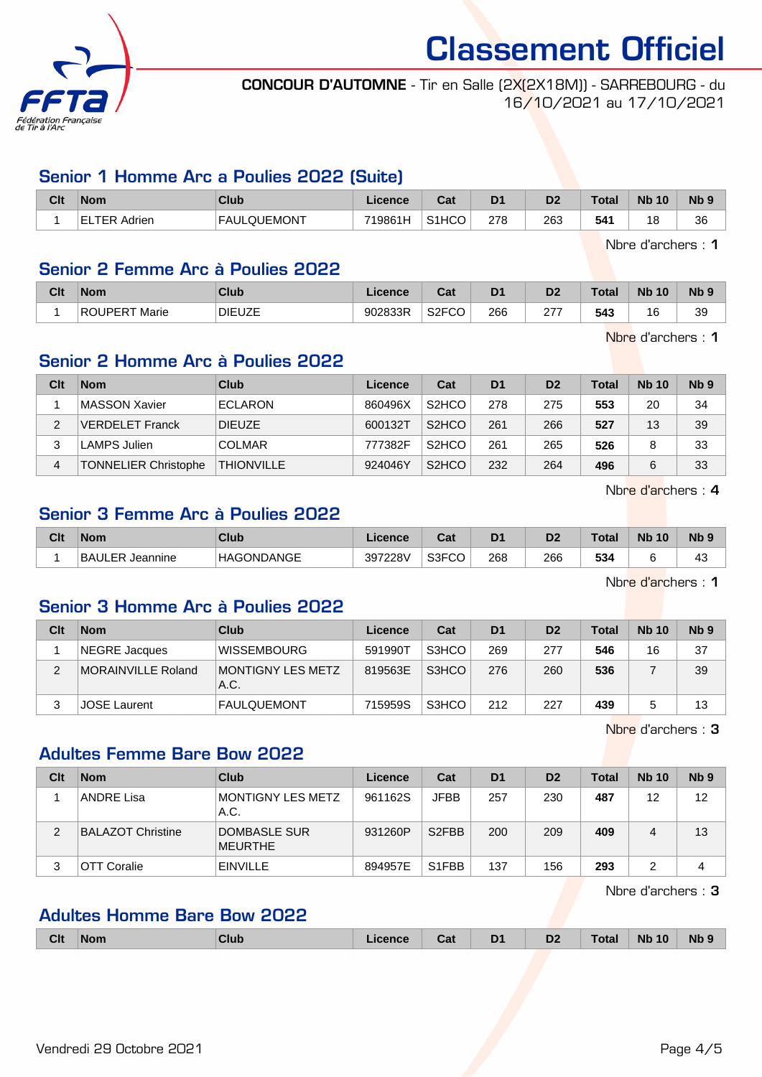

#### CONCOUR D'AUTOMNE - Tir en Salle (2X(2X18M)) - SARREBOURG - du 16/10/2021 au 17/10/2021

#### Senior 1 Homme Arc a Poulies 2022 (Suite)

| Clt | <b>Nom</b>   | <b>Club</b>                     | ∠icence | <b>DAL</b><br>⊍aι  | D <sub>1</sub> | D <sub>2</sub> | Total | <b>Nb</b><br>10 | N <sub>b</sub> 9 |
|-----|--------------|---------------------------------|---------|--------------------|----------------|----------------|-------|-----------------|------------------|
|     | ΈR<br>Adrien | <b>LQUEMONT</b><br><b>FAULO</b> | 719861H | S <sub>1</sub> HCC | 278            | 263            | 541   | 18              | 36               |

Nbre d'archers : 1

#### Senior 2 Femme Arc à Poulies 2022

| Clt | <b>Nom</b>              | <b>Club</b>   | .icence | ົລ!<br>⊌aī     | D <sub>1</sub> | D2        | Total | <b>N<sub>b</sub></b><br>10 | <b>Nb</b> |
|-----|-------------------------|---------------|---------|----------------|----------------|-----------|-------|----------------------------|-----------|
|     | <b>ROUPERT</b><br>Marie | <b>DIEUZE</b> | 902833R | S2FCO<br>္လုပ္ | 266            | ^77<br>21 | 543   | $\sqrt{2}$<br>16           | 39        |

Nbre d'archers : 1

#### Senior 2 Homme Arc à Poulies 2022

| Clt | <b>Nom</b>                  | <b>Club</b>       | Licence | Cat                             | D <sub>1</sub> | D <sub>2</sub> | <b>Total</b> | <b>Nb 10</b> | N <sub>b</sub> <sub>9</sub> |
|-----|-----------------------------|-------------------|---------|---------------------------------|----------------|----------------|--------------|--------------|-----------------------------|
|     | MASSON Xavier               | <b>ECLARON</b>    | 860496X | S <sub>2</sub> HCO              | 278            | 275            | 553          | 20           | 34                          |
|     | VERDELET Franck             | <b>DIEUZE</b>     | 600132T | S <sub>2</sub> H <sub>C</sub> O | 261            | 266            | 527          | 13           | 39                          |
| 3   | <b>LAMPS Julien</b>         | <b>COLMAR</b>     | 777382F | S <sub>2</sub> HCO              | 261            | 265            | 526          |              | 33                          |
| 4   | <b>TONNELIER Christophe</b> | <b>THIONVILLE</b> | 924046Y | S <sub>2</sub> HCO              | 232            | 264            | 496          |              | 33                          |

Nbre d'archers : 4

#### Senior 3 Femme Arc à Poulies 2022

|               | <b>Nom</b> | <b>Club</b>       | Licence | sau   | D <sub>1</sub> | D <sub>2</sub> | Total | <b>Nb</b><br>10 | N <sub>b</sub> <sub>9</sub> |
|---------------|------------|-------------------|---------|-------|----------------|----------------|-------|-----------------|-----------------------------|
| <b>BAULER</b> | Jeannine   | <b>HAGONDANGE</b> | 397228V | S3FCO | 268            | 266            | 534   |                 | ᠇◡                          |

Nbre d'archers : 1

#### Senior 3 Homme Arc à Poulies 2022

| Clt | <b>Nom</b>          | Club                             | Licence | Cat   | D <sub>1</sub> | D <sub>2</sub> | <b>Total</b> | <b>Nb 10</b> | Nb <sub>9</sub> |
|-----|---------------------|----------------------------------|---------|-------|----------------|----------------|--------------|--------------|-----------------|
|     | NEGRE Jacques       | <b>WISSEMBOURG</b>               | 591990T | S3HCO | 269            | 277            | 546          | 16           | 37              |
| 2   | MORAINVILLE Roland  | <b>MONTIGNY LES METZ</b><br>A.C. | 819563E | S3HCO | 276            | 260            | 536          |              | 39              |
|     | <b>JOSE Laurent</b> | <b>FAULQUEMONT</b>               | 715959S | S3HCO | 212            | 227            | 439          |              | 13              |

Nbre d'archers : 3

#### Adultes Femme Bare Bow 2022

| Clt | <b>Nom</b>               | Club                      | Licence | Cat                | D <sub>1</sub> | D <sub>2</sub> | Total | <b>Nb</b> 10 | N <sub>b</sub> <sub>9</sub> |
|-----|--------------------------|---------------------------|---------|--------------------|----------------|----------------|-------|--------------|-----------------------------|
|     | <b>ANDRE Lisa</b>        | MONTIGNY LES METZ<br>A.C. | 961162S | <b>JFBB</b>        | 257            | 230            | 487   | 12           | 12                          |
| 2   | <b>BALAZOT Christine</b> | DOMBASLE SUR<br>MEURTHE   | 931260P | S <sub>2</sub> FBB | 200            | 209            | 409   | 4            | 13                          |
| 3   | OTT Coralie              | <b>EINVILLE</b>           | 894957E | S <sub>1</sub> FBB | 137            | 156            | 293   |              |                             |

Nbre d'archers : 3

#### Adultes Homme Bare Bow 2022

|  | Clt | Nom | Club | i<br>™enc. | υd | D <sub>1</sub> | D <sub>2</sub> | .otal | 10<br><b>Nb</b> | <b>Nb</b> |
|--|-----|-----|------|------------|----|----------------|----------------|-------|-----------------|-----------|
|--|-----|-----|------|------------|----|----------------|----------------|-------|-----------------|-----------|